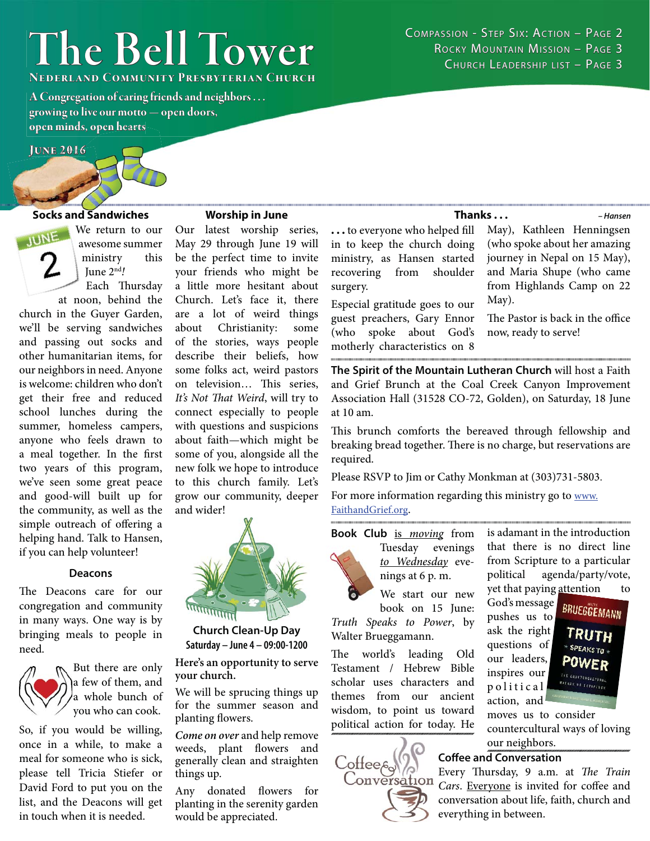# **The Bell Tower he**

**NEDERLAND COMMUNITY PRESBYTERIAN CHURCH** 

**A Congregation of caring friends and neighbors . . . growing to live our motto — open doors, rowing live open minds, open hearts<br>JUNE 2016** 

### **June 2016 1**

## **Socks and Sandwiches S**

We return to our **JUNE** 

awesome summer ministry this June 2nd! Each Thursday

at noon, behind the church in the Guyer Garden, we'll be serving sandwiches and passing out socks and other humanitarian items, for our neighbors in need. Anyone is welcome: children who don't get their free and reduced school lunches during the summer, homeless campers, anyone who feels drawn to a meal together. In the first two years of this program, we've seen some great peace and good-will built up for the community, as well as the simple outreach of offering a helping hand. Talk to Hansen, if you can help volunteer!

#### **Deacons**

The Deacons care for our congregation and community in many ways. One way is by bringing meals to people in need.



But there are only a few of them, and a whole bunch of you who can cook.

So, if you would be willing, once in a while, to make a meal for someone who is sick, please tell Tricia Stiefer or David Ford to put you on the list, and the Deacons will get in touch when it is needed.

#### **Worship in June**

Our latest worship series, May 29 through June 19 will be the perfect time to invite your friends who might be a little more hesitant about Church. Let's face it, there are a lot of weird things about Christianity: some of the stories, ways people describe their beliefs, how some folks act, weird pastors on television... This series, It's Not That Weird, will try to connect especially to people with questions and suspicions about faith—which might be some of you, alongside all the new folk we hope to introduce to this church family. Let's grow our community, deeper and wider!



**Church Clean-Up Day Saturday – June 4 – 09:00-1200**

**Here's an opportunity to serve your church.** 

We will be sprucing things up for the summer season and planting flowers.

*Come on over* and help remove weeds, plant flowers and generally clean and straighten things up.

Any donated flowers for planting in the serenity garden would be appreciated.

COMPASSION - STEP SIX: ACTION - PAGE 2 ROCKY MOUNTAIN MISSION - PAGE 3 CHURCH LEADERSHIP LIST - PAGE 3

**...** to everyone who helped fill in to keep the church doing ministry, as Hansen started recovering from shoulder surgery.

Especial gratitude goes to our guest preachers, Gary Ennor (who spoke about God's motherly characteristics on 8

**Thanks . . .**

*– Hansen* May), Kathleen Henningsen (who spoke about her amazing journey in Nepal on 15 May), and Maria Shupe (who came from Highlands Camp on 22 May).

The Pastor is back in the office now, ready to serve!

**The Spirit of the Mountain Lutheran Church** will host a Faith and Grief Brunch at the Coal Creek Canyon Improvement Association Hall (31528 CO-72, Golden), on Saturday, 18 June at 10 am.

This brunch comforts the bereaved through fellowship and breaking bread together. There is no charge, but reservations are required.

Please RSVP to Jim or Cathy Monkman at (303)731-5803.

For more information regarding this ministry go to www.

#### FaithandGrief.org.

Book Club is moving from



Tuesday evenings to Wednesday evenings at 6 p. m.

We start our new book on 15 June: Truth Speaks to Power, by Walter Brueggamann.

The world's leading Old Testament / Hebrew Bible scholar uses characters and themes from our ancient wisdom, to point us toward political action for today. He



ask the right questions of our leaders, inspires our p o l i t i c a l action, and



moves us to consider countercultural ways of loving our neighbors.

#### **Coffee and Conversation**

Every Thursday, 9 a.m. at The Train Cars. Everyone is invited for coffee and conversation about life, faith, church and everything in between.

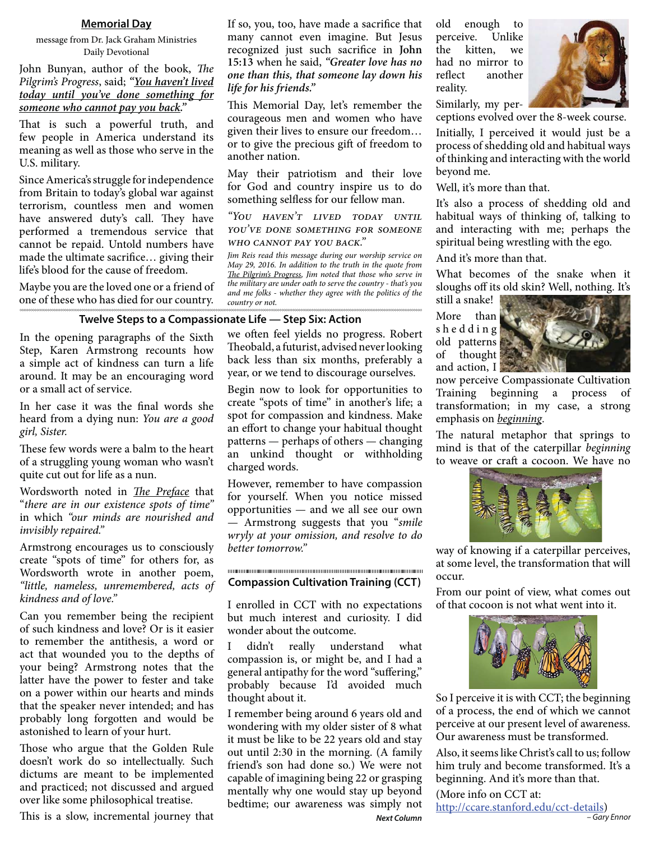#### **Memorial Day**

message from Dr. Jack Graham Ministries Daily Devotional

John Bunyan, author of the book, The Pilgrim's Progress, said; *"You haven't lived today until you've done something for someone who cannot pay you back."*

That is such a powerful truth, and few people in America understand its meaning as well as those who serve in the U.S. military.

Since America's struggle for independence from Britain to today's global war against terrorism, countless men and women have answered duty's call. They have performed a tremendous service that cannot be repaid. Untold numbers have made the ultimate sacrifice... giving their life's blood for the cause of freedom.

Maybe you are the loved one or a friend of one of these who has died for our country.

#### If so, you, too, have made a sacrifice that many cannot even imagine. But Jesus recognized just such sacrifice in **John 15:13** when he said, *"Greater love has no one than this, that someone lay down his life for his friends."*

This Memorial Day, let's remember the courageous men and women who have given their lives to ensure our freedom… or to give the precious gift of freedom to another nation.

May their patriotism and their love for God and country inspire us to do something selfless for our fellow man.

"You haven't lived today until YOU'VE DONE SOMETHING FOR SOMEONE WHO CANNOT PAY YOU BACK."

Jim Reis read this message during our worship service on May 29, 2016. In addition to the truth in the quote from The Pilgrim's Progress, Jim noted that those who serve in the military are under oath to serve the country - that's you and me folks - whether they agree with the politics of the country or not.

#### **Twelve Steps to a Compassionate Life — Step Six: Action**

In the opening paragraphs of the Sixth Step, Karen Armstrong recounts how a simple act of kindness can turn a life around. It may be an encouraging word or a small act of service.

In her case it was the final words she heard from a dying nun: You are a good girl, Sister.

These few words were a balm to the heart of a struggling young woman who wasn't quite cut out for life as a nun.

Wordsworth noted in *The Preface* that "there are in our existence spots of time" in which "our minds are nourished and invisibly repaired."

Armstrong encourages us to consciously create "spots of time" for others for, as Wordsworth wrote in another poem, "little, nameless, unremembered, acts of kindness and of love."

Can you remember being the recipient of such kindness and love? Or is it easier to remember the antithesis, a word or act that wounded you to the depths of your being? Armstrong notes that the latter have the power to fester and take on a power within our hearts and minds that the speaker never intended; and has probably long forgotten and would be astonished to learn of your hurt.

Those who argue that the Golden Rule doesn't work do so intellectually. Such dictums are meant to be implemented and practiced; not discussed and argued over like some philosophical treatise.

This is a slow, incremental journey that

we often feel yields no progress. Robert Theobald, a futurist, advised never looking back less than six months, preferably a year, or we tend to discourage ourselves.

Begin now to look for opportunities to create "spots of time" in another's life; a spot for compassion and kindness. Make an effort to change your habitual thought patterns — perhaps of others — changing an unkind thought or withholding charged words.

However, remember to have compassion for yourself. When you notice missed opportunities — and we all see our own — Armstrong suggests that you "smile wryly at your omission, and resolve to do better tomorrow."

#### **Compassion Cultivation Training (CCT)**

I enrolled in CCT with no expectations but much interest and curiosity. I did wonder about the outcome.

I didn't really understand what compassion is, or might be, and I had a general antipathy for the word "suffering," probably because I'd avoided much thought about it.

*Next Column* I remember being around 6 years old and wondering with my older sister of 8 what it must be like to be 22 years old and stay out until 2:30 in the morning. (A family friend's son had done so.) We were not capable of imagining being 22 or grasping mentally why one would stay up beyond bedtime; our awareness was simply not

old enough to perceive. Unlike the kitten, we had no mirror to reflect another reality.

Similarly, my perceptions evolved over the 8-week course.

Initially, I perceived it would just be a process of shedding old and habitual ways of thinking and interacting with the world beyond me.

Well, it's more than that.

It's also a process of shedding old and habitual ways of thinking of, talking to and interacting with me; perhaps the spiritual being wrestling with the ego.

And it's more than that.

What becomes of the snake when it sloughs off its old skin? Well, nothing. It's still a snake!

More than s h e d d i n g old patterns of thought and action, I



now perceive Compassionate Cultivation Training beginning a process of transformation; in my case, a strong emphasis on *beginning*.

The natural metaphor that springs to mind is that of the caterpillar beginning to weave or craft a cocoon. We have no



way of knowing if a caterpillar perceives, at some level, the transformation that will occur.

From our point of view, what comes out of that cocoon is not what went into it.



So I perceive it is with CCT; the beginning of a process, the end of which we cannot perceive at our present level of awareness. Our awareness must be transformed.

Also, it seems like Christ's call to us; follow him truly and become transformed. It's a beginning. And it's more than that.

(More info on CCT at: http://ccare.stanford.edu/cct-details) *– Gary Ennor*